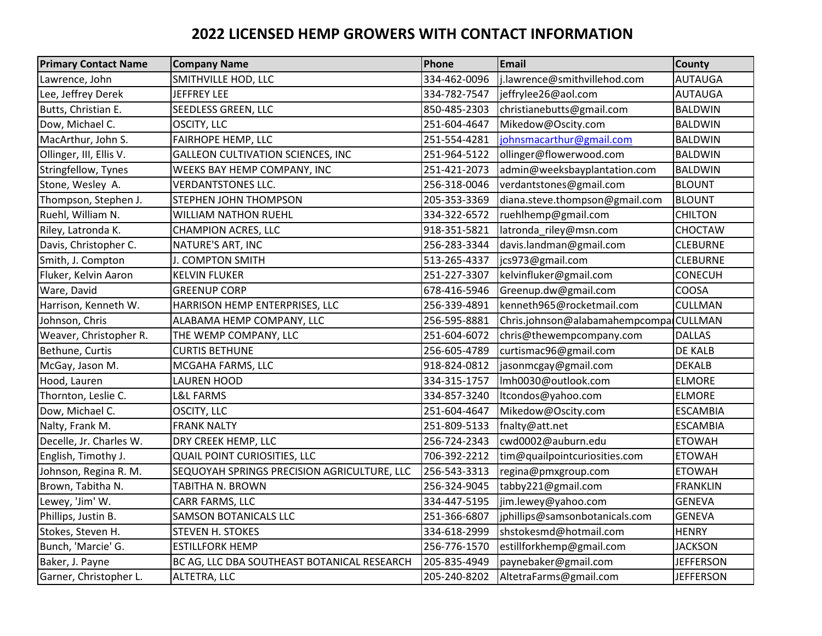## **2022 LICENSED HEMP GROWERS WITH CONTACT INFORMATION**

| <b>Primary Contact Name</b> | <b>Company Name</b>                         | Phone        | Email                                  | <b>County</b>    |
|-----------------------------|---------------------------------------------|--------------|----------------------------------------|------------------|
| Lawrence, John              | SMITHVILLE HOD, LLC                         | 334-462-0096 | j.lawrence@smithvillehod.com           | AUTAUGA          |
| Lee, Jeffrey Derek          | <b>JEFFREY LEE</b>                          | 334-782-7547 | jeffrylee26@aol.com                    | <b>AUTAUGA</b>   |
| Butts, Christian E.         | SEEDLESS GREEN, LLC                         | 850-485-2303 | christianebutts@gmail.com              | <b>BALDWIN</b>   |
| Dow, Michael C.             | OSCITY, LLC                                 | 251-604-4647 | Mikedow@Oscity.com                     | <b>BALDWIN</b>   |
| MacArthur, John S.          | FAIRHOPE HEMP, LLC                          | 251-554-4281 | johnsmacarthur@gmail.com               | <b>BALDWIN</b>   |
| Ollinger, III, Ellis V.     | <b>GALLEON CULTIVATION SCIENCES, INC</b>    | 251-964-5122 | ollinger@flowerwood.com                | <b>BALDWIN</b>   |
| Stringfellow, Tynes         | WEEKS BAY HEMP COMPANY, INC                 | 251-421-2073 | admin@weeksbayplantation.com           | <b>BALDWIN</b>   |
| Stone, Wesley A.            | <b>VERDANTSTONES LLC.</b>                   | 256-318-0046 | verdantstones@gmail.com                | <b>BLOUNT</b>    |
| Thompson, Stephen J.        | STEPHEN JOHN THOMPSON                       | 205-353-3369 | diana.steve.thompson@gmail.com         | <b>BLOUNT</b>    |
| Ruehl, William N.           | <b>WILLIAM NATHON RUEHL</b>                 | 334-322-6572 | ruehlhemp@gmail.com                    | <b>CHILTON</b>   |
| Riley, Latronda K.          | CHAMPION ACRES, LLC                         | 918-351-5821 | latronda_riley@msn.com                 | CHOCTAW          |
| Davis, Christopher C.       | NATURE'S ART, INC                           | 256-283-3344 | davis.landman@gmail.com                | <b>CLEBURNE</b>  |
| Smith, J. Compton           | J. COMPTON SMITH                            | 513-265-4337 | jcs973@gmail.com                       | <b>CLEBURNE</b>  |
| Fluker, Kelvin Aaron        | <b>KELVIN FLUKER</b>                        | 251-227-3307 | kelvinfluker@gmail.com                 | <b>CONECUH</b>   |
| Ware, David                 | <b>GREENUP CORP</b>                         | 678-416-5946 | Greenup.dw@gmail.com                   | COOSA            |
| Harrison, Kenneth W.        | HARRISON HEMP ENTERPRISES, LLC              | 256-339-4891 | kenneth965@rocketmail.com              | <b>CULLMAN</b>   |
| Johnson, Chris              | ALABAMA HEMP COMPANY, LLC                   | 256-595-8881 | Chris.johnson@alabamahempcompa CULLMAN |                  |
| Weaver, Christopher R.      | THE WEMP COMPANY, LLC                       | 251-604-6072 | chris@thewempcompany.com               | <b>DALLAS</b>    |
| Bethune, Curtis             | <b>CURTIS BETHUNE</b>                       | 256-605-4789 | curtismac96@gmail.com                  | DE KALB          |
| McGay, Jason M.             | MCGAHA FARMS, LLC                           | 918-824-0812 | jasonmcgay@gmail.com                   | <b>DEKALB</b>    |
| Hood, Lauren                | <b>LAUREN HOOD</b>                          | 334-315-1757 | Imh0030@outlook.com                    | <b>ELMORE</b>    |
| Thornton, Leslie C.         | L&L FARMS                                   | 334-857-3240 | ltcondos@yahoo.com                     | <b>ELMORE</b>    |
| Dow, Michael C.             | OSCITY, LLC                                 | 251-604-4647 | Mikedow@Oscity.com                     | <b>ESCAMBIA</b>  |
| Nalty, Frank M.             | <b>FRANK NALTY</b>                          | 251-809-5133 | fnalty@att.net                         | <b>ESCAMBIA</b>  |
| Decelle, Jr. Charles W.     | DRY CREEK HEMP, LLC                         | 256-724-2343 | cwd0002@auburn.edu                     | <b>ETOWAH</b>    |
| English, Timothy J.         | <b>QUAIL POINT CURIOSITIES, LLC</b>         | 706-392-2212 | tim@quailpointcuriosities.com          | <b>ETOWAH</b>    |
| Johnson, Regina R. M.       | SEQUOYAH SPRINGS PRECISION AGRICULTURE, LLC | 256-543-3313 | regina@pmxgroup.com                    | <b>ETOWAH</b>    |
| Brown, Tabitha N.           | TABITHA N. BROWN                            | 256-324-9045 | tabby221@gmail.com                     | <b>FRANKLIN</b>  |
| Lewey, 'Jim' W.             | CARR FARMS, LLC                             | 334-447-5195 | jim.lewey@yahoo.com                    | <b>GENEVA</b>    |
| Phillips, Justin B.         | <b>SAMSON BOTANICALS LLC</b>                | 251-366-6807 | jphillips@samsonbotanicals.com         | <b>GENEVA</b>    |
| Stokes, Steven H.           | STEVEN H. STOKES                            | 334-618-2999 | shstokesmd@hotmail.com                 | <b>HENRY</b>     |
| Bunch, 'Marcie' G.          | <b>ESTILLFORK HEMP</b>                      | 256-776-1570 | estillforkhemp@gmail.com               | <b>JACKSON</b>   |
| Baker, J. Payne             | BC AG, LLC DBA SOUTHEAST BOTANICAL RESEARCH | 205-835-4949 | paynebaker@gmail.com                   | <b>JEFFERSON</b> |
| Garner, Christopher L.      | ALTETRA, LLC                                | 205-240-8202 | AltetraFarms@gmail.com                 | <b>JEFFERSON</b> |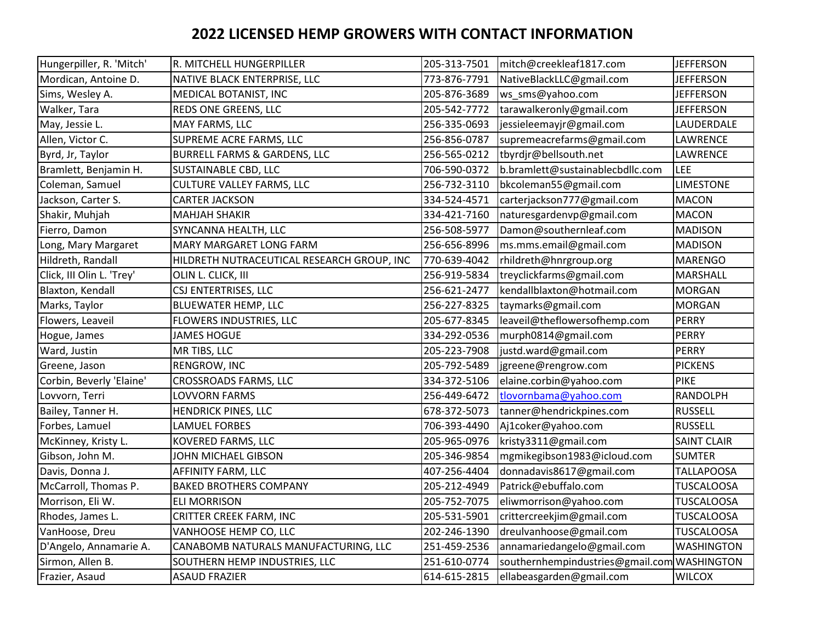## **2022 LICENSED HEMP GROWERS WITH CONTACT INFORMATION**

| Hungerpiller, R. 'Mitch'  | R. MITCHELL HUNGERPILLER                   | 205-313-7501 | mitch@creekleaf1817.com                     | <b>JEFFERSON</b>   |
|---------------------------|--------------------------------------------|--------------|---------------------------------------------|--------------------|
| Mordican, Antoine D.      | NATIVE BLACK ENTERPRISE, LLC               | 773-876-7791 | NativeBlackLLC@gmail.com                    | <b>JEFFERSON</b>   |
| Sims, Wesley A.           | MEDICAL BOTANIST, INC                      | 205-876-3689 | ws sms@yahoo.com                            | <b>JEFFERSON</b>   |
| Walker, Tara              | REDS ONE GREENS, LLC                       | 205-542-7772 | tarawalkeronly@gmail.com                    | <b>JEFFERSON</b>   |
| May, Jessie L.            | MAY FARMS, LLC                             | 256-335-0693 | jessieleemayjr@gmail.com                    | LAUDERDALE         |
| Allen, Victor C.          | SUPREME ACRE FARMS, LLC                    | 256-856-0787 | supremeacrefarms@gmail.com                  | <b>LAWRENCE</b>    |
| Byrd, Jr, Taylor          | BURRELL FARMS & GARDENS, LLC               | 256-565-0212 | tbyrdjr@bellsouth.net                       | LAWRENCE           |
| Bramlett, Benjamin H.     | SUSTAINABLE CBD, LLC                       | 706-590-0372 | b.bramlett@sustainablecbdllc.com            | <b>LEE</b>         |
| Coleman, Samuel           | <b>CULTURE VALLEY FARMS, LLC</b>           | 256-732-3110 | bkcoleman55@gmail.com                       | <b>LIMESTONE</b>   |
| Jackson, Carter S.        | <b>CARTER JACKSON</b>                      | 334-524-4571 | carterjackson777@gmail.com                  | <b>MACON</b>       |
| Shakir, Muhjah            | <b>MAHJAH SHAKIR</b>                       | 334-421-7160 | naturesgardenvp@gmail.com                   | <b>MACON</b>       |
| Fierro, Damon             | SYNCANNA HEALTH, LLC                       | 256-508-5977 | Damon@southernleaf.com                      | <b>MADISON</b>     |
| Long, Mary Margaret       | <b>MARY MARGARET LONG FARM</b>             | 256-656-8996 | ms.mms.email@gmail.com                      | <b>MADISON</b>     |
| Hildreth, Randall         | HILDRETH NUTRACEUTICAL RESEARCH GROUP, INC | 770-639-4042 | rhildreth@hnrgroup.org                      | <b>MARENGO</b>     |
| Click, III Olin L. 'Trey' | OLIN L. CLICK, III                         | 256-919-5834 | treyclickfarms@gmail.com                    | MARSHALL           |
| Blaxton, Kendall          | CSJ ENTERTRISES, LLC                       | 256-621-2477 | kendallblaxton@hotmail.com                  | <b>MORGAN</b>      |
| Marks, Taylor             | BLUEWATER HEMP, LLC                        | 256-227-8325 | taymarks@gmail.com                          | <b>MORGAN</b>      |
| Flowers, Leaveil          | FLOWERS INDUSTRIES, LLC                    | 205-677-8345 | leaveil@theflowersofhemp.com                | PERRY              |
| Hogue, James              | <b>JAMES HOGUE</b>                         | 334-292-0536 | murph0814@gmail.com                         | <b>PERRY</b>       |
| Ward, Justin              | MR TIBS, LLC                               | 205-223-7908 | justd.ward@gmail.com                        | <b>PERRY</b>       |
| Greene, Jason             | RENGROW, INC                               | 205-792-5489 | jgreene@rengrow.com                         | <b>PICKENS</b>     |
| Corbin, Beverly 'Elaine'  | CROSSROADS FARMS, LLC                      | 334-372-5106 | elaine.corbin@yahoo.com                     | <b>PIKE</b>        |
| Lovvorn, Terri            | LOVVORN FARMS                              | 256-449-6472 | tlovornbama@yahoo.com                       | <b>RANDOLPH</b>    |
| Bailey, Tanner H.         | HENDRICK PINES, LLC                        | 678-372-5073 | tanner@hendrickpines.com                    | <b>RUSSELL</b>     |
| Forbes, Lamuel            | LAMUEL FORBES                              | 706-393-4490 | Aj1coker@yahoo.com                          | <b>RUSSELL</b>     |
| McKinney, Kristy L.       | KOVERED FARMS, LLC                         | 205-965-0976 | kristy3311@gmail.com                        | <b>SAINT CLAIR</b> |
| Gibson, John M.           | JOHN MICHAEL GIBSON                        | 205-346-9854 | mgmikegibson1983@icloud.com                 | <b>SUMTER</b>      |
| Davis, Donna J.           | AFFINITY FARM, LLC                         | 407-256-4404 | donnadavis8617@gmail.com                    | <b>TALLAPOOSA</b>  |
| McCarroll, Thomas P.      | <b>BAKED BROTHERS COMPANY</b>              | 205-212-4949 | Patrick@ebuffalo.com                        | <b>TUSCALOOSA</b>  |
| Morrison, Eli W.          | <b>ELI MORRISON</b>                        | 205-752-7075 | eliwmorrison@yahoo.com                      | <b>TUSCALOOSA</b>  |
| Rhodes, James L.          | CRITTER CREEK FARM, INC                    | 205-531-5901 | crittercreekjim@gmail.com                   | <b>TUSCALOOSA</b>  |
| VanHoose, Dreu            | VANHOOSE HEMP CO, LLC                      | 202-246-1390 | dreulvanhoose@gmail.com                     | <b>TUSCALOOSA</b>  |
| D'Angelo, Annamarie A.    | CANABOMB NATURALS MANUFACTURING, LLC       | 251-459-2536 | annamariedangelo@gmail.com                  | <b>WASHINGTON</b>  |
| Sirmon, Allen B.          | SOUTHERN HEMP INDUSTRIES, LLC              | 251-610-0774 | southernhempindustries@gmail.com WASHINGTON |                    |
| Frazier, Asaud            | <b>ASAUD FRAZIER</b>                       | 614-615-2815 | ellabeasgarden@gmail.com                    | <b>WILCOX</b>      |